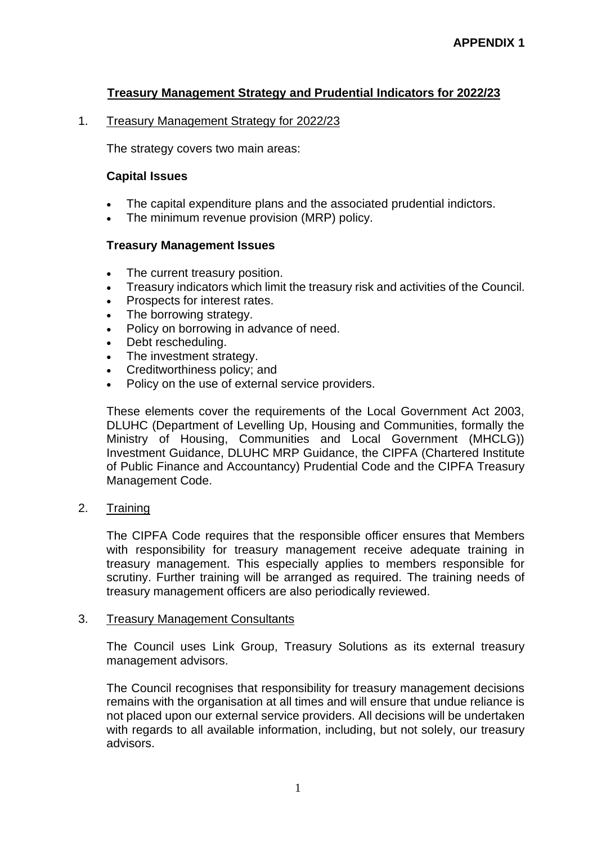# **Treasury Management Strategy and Prudential Indicators for 2022/23**

### 1. Treasury Management Strategy for 2022/23

The strategy covers two main areas:

### **Capital Issues**

- The capital expenditure plans and the associated prudential indictors.
- The minimum revenue provision (MRP) policy.

#### **Treasury Management Issues**

- The current treasury position.
- Treasury indicators which limit the treasury risk and activities of the Council.
- Prospects for interest rates.
- The borrowing strategy.
- Policy on borrowing in advance of need.
- Debt rescheduling.
- The investment strategy.
- Creditworthiness policy; and
- Policy on the use of external service providers.

These elements cover the requirements of the Local Government Act 2003, DLUHC (Department of Levelling Up, Housing and Communities, formally the Ministry of Housing, Communities and Local Government (MHCLG)) Investment Guidance, DLUHC MRP Guidance, the CIPFA (Chartered Institute of Public Finance and Accountancy) Prudential Code and the CIPFA Treasury Management Code.

2. Training

The CIPFA Code requires that the responsible officer ensures that Members with responsibility for treasury management receive adequate training in treasury management. This especially applies to members responsible for scrutiny. Further training will be arranged as required. The training needs of treasury management officers are also periodically reviewed.

#### 3. Treasury Management Consultants

The Council uses Link Group, Treasury Solutions as its external treasury management advisors.

The Council recognises that responsibility for treasury management decisions remains with the organisation at all times and will ensure that undue reliance is not placed upon our external service providers. All decisions will be undertaken with regards to all available information, including, but not solely, our treasury advisors.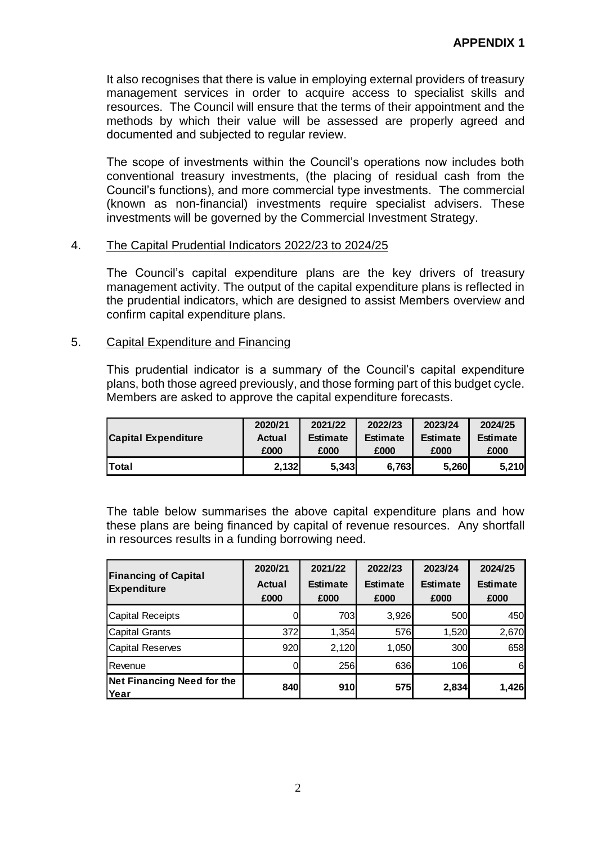It also recognises that there is value in employing external providers of treasury management services in order to acquire access to specialist skills and resources. The Council will ensure that the terms of their appointment and the methods by which their value will be assessed are properly agreed and documented and subjected to regular review.

The scope of investments within the Council's operations now includes both conventional treasury investments, (the placing of residual cash from the Council's functions), and more commercial type investments. The commercial (known as non-financial) investments require specialist advisers. These investments will be governed by the Commercial Investment Strategy.

### 4. The Capital Prudential Indicators 2022/23 to 2024/25

The Council's capital expenditure plans are the key drivers of treasury management activity. The output of the capital expenditure plans is reflected in the prudential indicators, which are designed to assist Members overview and confirm capital expenditure plans.

### 5. Capital Expenditure and Financing

This prudential indicator is a summary of the Council's capital expenditure plans, both those agreed previously, and those forming part of this budget cycle. Members are asked to approve the capital expenditure forecasts.

|                            | 2020/21 | 2021/22         | 2022/23         |                 | 2024/25         |
|----------------------------|---------|-----------------|-----------------|-----------------|-----------------|
| <b>Capital Expenditure</b> | Actual  | <b>Estimate</b> | <b>Estimate</b> | <b>Estimate</b> | <b>Estimate</b> |
|                            | £000    | £000            | £000            | £000            | £000            |
| <b>Total</b>               | 2.132   | 5.343           | 6.763           | 5.260           | <b>5.210</b>    |

The table below summarises the above capital expenditure plans and how these plans are being financed by capital of revenue resources. Any shortfall in resources results in a funding borrowing need.

|                                                   | 2020/21        | 2021/22                 | 2022/23                 | 2023/24                 | 2024/25                 |  |
|---------------------------------------------------|----------------|-------------------------|-------------------------|-------------------------|-------------------------|--|
| <b>Financing of Capital</b><br><b>Expenditure</b> | Actual<br>£000 | <b>Estimate</b><br>£000 | <b>Estimate</b><br>£000 | <b>Estimate</b><br>£000 | <b>Estimate</b><br>£000 |  |
| <b>Capital Receipts</b>                           |                | 703                     | 3,926                   | 500                     | 450                     |  |
| <b>Capital Grants</b>                             | 372            | 1,354                   | 576                     | 1,520                   | 2,670                   |  |
| <b>Capital Reserves</b>                           | 920            | 2,120                   | 1,050                   | 300                     | 658                     |  |
| Revenue                                           |                | 256                     | 636                     | 106                     | 6                       |  |
| <b>Net Financing Need for the</b><br>Year         | 840            | 910                     | <b>575</b>              | 2,834                   | 1,426                   |  |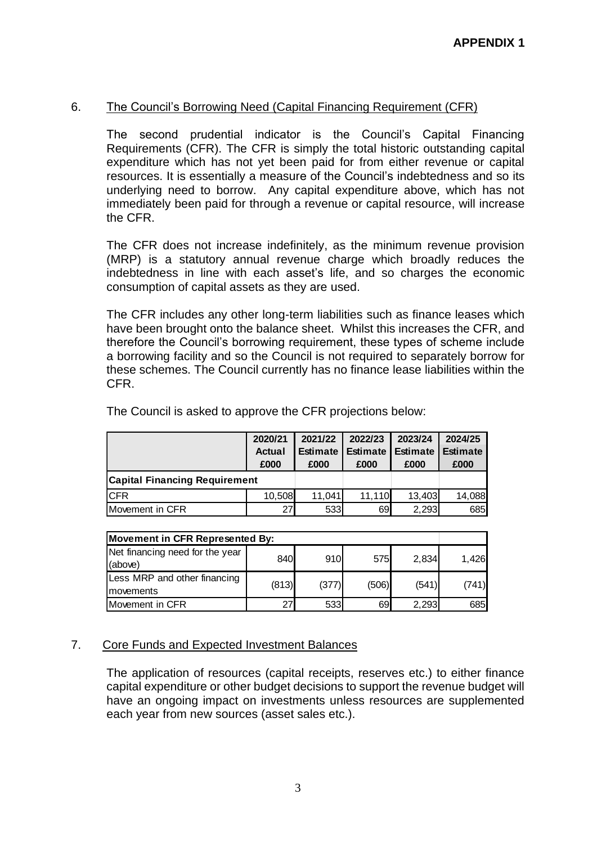## 6. The Council's Borrowing Need (Capital Financing Requirement (CFR)

The second prudential indicator is the Council's Capital Financing Requirements (CFR). The CFR is simply the total historic outstanding capital expenditure which has not yet been paid for from either revenue or capital resources. It is essentially a measure of the Council's indebtedness and so its underlying need to borrow. Any capital expenditure above, which has not immediately been paid for through a revenue or capital resource, will increase the CFR.

The CFR does not increase indefinitely, as the minimum revenue provision (MRP) is a statutory annual revenue charge which broadly reduces the indebtedness in line with each asset's life, and so charges the economic consumption of capital assets as they are used.

The CFR includes any other long-term liabilities such as finance leases which have been brought onto the balance sheet. Whilst this increases the CFR, and therefore the Council's borrowing requirement, these types of scheme include a borrowing facility and so the Council is not required to separately borrow for these schemes. The Council currently has no finance lease liabilities within the CFR.

|                                      | 2020/21       | 2021/22         | 2022/23         | 2023/24         | 2024/25         |
|--------------------------------------|---------------|-----------------|-----------------|-----------------|-----------------|
|                                      | <b>Actual</b> | <b>Estimate</b> | <b>Estimate</b> | <b>Estimate</b> | <b>Estimate</b> |
|                                      | £000          | £000            | £000            | £000            | £000            |
| <b>Capital Financing Requirement</b> |               |                 |                 |                 |                 |
| <b>CFR</b>                           | 10,508        | 11.041          | 11,110          | 13,403          | 14,088          |
| Movement in CFR                      | 27            | 533             | 69              | 2,293           | 685             |

The Council is asked to approve the CFR projections below:

| Movement in CFR Represented By:            |       |       |       |       |       |  |  |
|--------------------------------------------|-------|-------|-------|-------|-------|--|--|
| Net financing need for the year<br>(above) | 840   | 910   | 575   | 2,834 | 1.426 |  |  |
| Less MRP and other financing<br>movements  | (813) | (377) | (506) | (541) | (741) |  |  |
| Movement in CFR                            | 27    | 533   | 69    | 2.293 | 685I  |  |  |

## 7. Core Funds and Expected Investment Balances

The application of resources (capital receipts, reserves etc.) to either finance capital expenditure or other budget decisions to support the revenue budget will have an ongoing impact on investments unless resources are supplemented each year from new sources (asset sales etc.).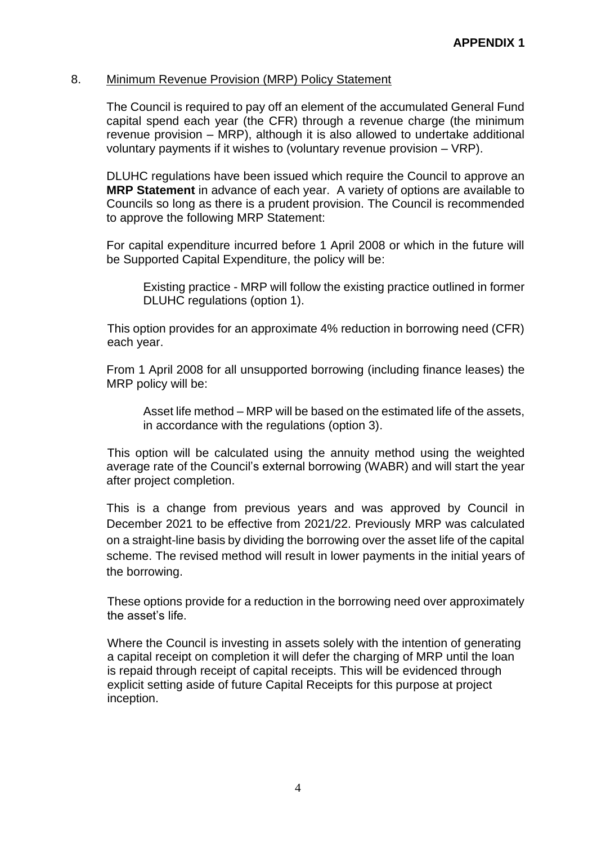## 8. Minimum Revenue Provision (MRP) Policy Statement

The Council is required to pay off an element of the accumulated General Fund capital spend each year (the CFR) through a revenue charge (the minimum revenue provision – MRP), although it is also allowed to undertake additional voluntary payments if it wishes to (voluntary revenue provision – VRP).

DLUHC regulations have been issued which require the Council to approve an **MRP Statement** in advance of each year. A variety of options are available to Councils so long as there is a prudent provision. The Council is recommended to approve the following MRP Statement:

For capital expenditure incurred before 1 April 2008 or which in the future will be Supported Capital Expenditure, the policy will be:

Existing practice - MRP will follow the existing practice outlined in former DLUHC regulations (option 1).

This option provides for an approximate 4% reduction in borrowing need (CFR) each year.

From 1 April 2008 for all unsupported borrowing (including finance leases) the MRP policy will be:

Asset life method – MRP will be based on the estimated life of the assets, in accordance with the regulations (option 3).

This option will be calculated using the annuity method using the weighted average rate of the Council's external borrowing (WABR) and will start the year after project completion.

This is a change from previous years and was approved by Council in December 2021 to be effective from 2021/22. Previously MRP was calculated on a straight-line basis by dividing the borrowing over the asset life of the capital scheme. The revised method will result in lower payments in the initial years of the borrowing.

These options provide for a reduction in the borrowing need over approximately the asset's life.

Where the Council is investing in assets solely with the intention of generating a capital receipt on completion it will defer the charging of MRP until the loan is repaid through receipt of capital receipts. This will be evidenced through explicit setting aside of future Capital Receipts for this purpose at project inception.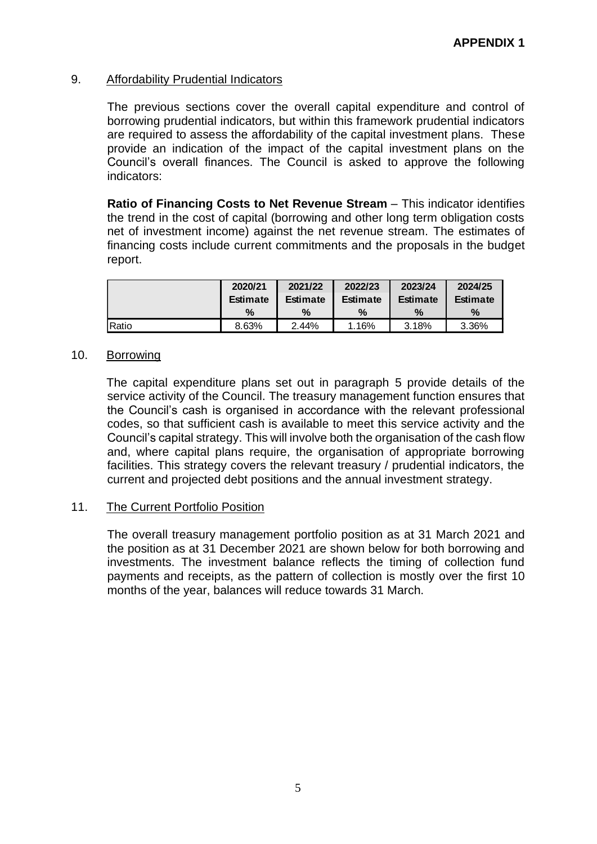## 9. Affordability Prudential Indicators

The previous sections cover the overall capital expenditure and control of borrowing prudential indicators, but within this framework prudential indicators are required to assess the affordability of the capital investment plans. These provide an indication of the impact of the capital investment plans on the Council's overall finances. The Council is asked to approve the following indicators:

**Ratio of Financing Costs to Net Revenue Stream** – This indicator identifies the trend in the cost of capital (borrowing and other long term obligation costs net of investment income) against the net revenue stream. The estimates of financing costs include current commitments and the proposals in the budget report.

|       | 2020/21         | 2021/22         | 2022/23         | 2023/24         | 2024/25         |
|-------|-----------------|-----------------|-----------------|-----------------|-----------------|
|       | <b>Estimate</b> | <b>Estimate</b> | <b>Estimate</b> | <b>Estimate</b> | <b>Estimate</b> |
|       | $\%$            | $\%$            | %               | $\%$            | %               |
| Ratio | 8.63%           | 2.44%           | 1.16%           | 3.18%           | 3.36%           |

### 10. Borrowing

The capital expenditure plans set out in paragraph 5 provide details of the service activity of the Council. The treasury management function ensures that the Council's cash is organised in accordance with the relevant professional codes, so that sufficient cash is available to meet this service activity and the Council's capital strategy. This will involve both the organisation of the cash flow and, where capital plans require, the organisation of appropriate borrowing facilities. This strategy covers the relevant treasury / prudential indicators, the current and projected debt positions and the annual investment strategy.

#### 11. The Current Portfolio Position

The overall treasury management portfolio position as at 31 March 2021 and the position as at 31 December 2021 are shown below for both borrowing and investments. The investment balance reflects the timing of collection fund payments and receipts, as the pattern of collection is mostly over the first 10 months of the year, balances will reduce towards 31 March.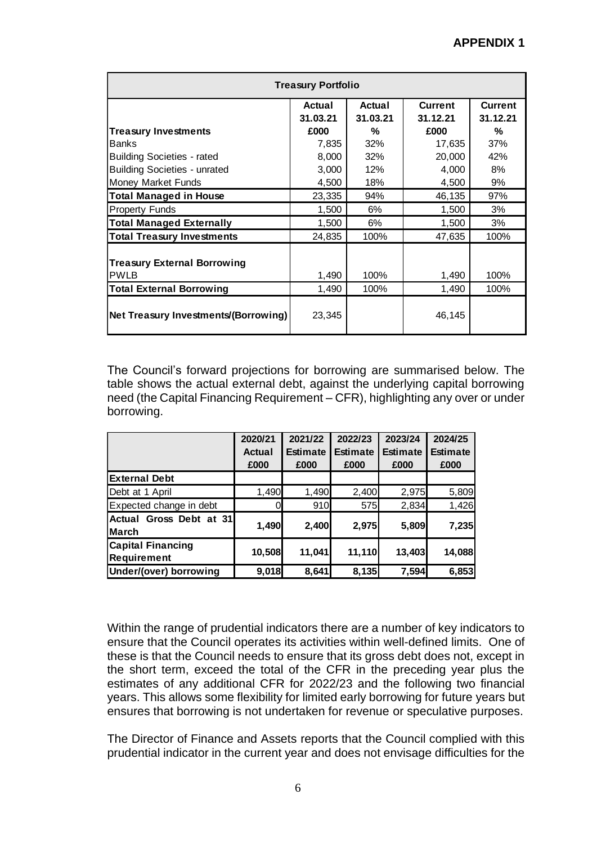| <b>Treasury Portfolio</b>                                              |        |      |        |      |  |  |  |
|------------------------------------------------------------------------|--------|------|--------|------|--|--|--|
| Actual<br><b>Current</b><br>Actual<br>31.03.21<br>31.03.21<br>31.12.21 |        |      |        |      |  |  |  |
| <b>Treasury Investments</b>                                            | £000   | %    | £000   | %    |  |  |  |
| <b>Banks</b>                                                           | 7,835  | 32%  | 17,635 | 37%  |  |  |  |
| <b>Building Societies - rated</b>                                      | 8,000  | 32%  | 20,000 | 42%  |  |  |  |
| <b>Building Societies - unrated</b>                                    | 3,000  | 12%  | 4,000  | 8%   |  |  |  |
| Money Market Funds                                                     | 4,500  | 18%  | 4,500  | 9%   |  |  |  |
| <b>Total Managed in House</b>                                          | 23,335 | 94%  | 46,135 | 97%  |  |  |  |
| <b>Property Funds</b>                                                  | 1,500  | 6%   | 1,500  | 3%   |  |  |  |
| <b>Total Managed Externally</b>                                        | 1,500  | 6%   | 1,500  | 3%   |  |  |  |
| <b>Total Treasury Investments</b>                                      | 24,835 | 100% | 47,635 | 100% |  |  |  |
| <b>Treasury External Borrowing</b><br><b>PWLB</b>                      | 1,490  | 100% | 1,490  | 100% |  |  |  |
| <b>Total External Borrowing</b>                                        | 1,490  | 100% | 1,490  | 100% |  |  |  |
| Net Treasury Investments/(Borrowing)                                   | 23,345 |      | 46,145 |      |  |  |  |

The Council's forward projections for borrowing are summarised below. The table shows the actual external debt, against the underlying capital borrowing need (the Capital Financing Requirement – CFR), highlighting any over or under borrowing.

|                            | 2020/21       | 2021/22         | 2022/23         | 2023/24         | 2024/25         |
|----------------------------|---------------|-----------------|-----------------|-----------------|-----------------|
|                            | <b>Actual</b> | <b>Estimate</b> | <b>Estimate</b> | <b>Estimate</b> | <b>Estimate</b> |
|                            | £000          | £000            | £000            | £000            | £000            |
| <b>External Debt</b>       |               |                 |                 |                 |                 |
| Debt at 1 April            | 1,490         | 1,490           | 2,400           | 2,975           | 5,809           |
| Expected change in debt    |               | 910             | 575             | 2,834           | 1,426           |
| Gross Debt at 31<br>Actual | 1,490         | 2,400           | 2,975           | 5,809           | 7,235           |
| <b>March</b>               |               |                 |                 |                 |                 |
| <b>Capital Financing</b>   | 10,508        | 11,041          | 11,110          | 13,403          | 14,088          |
| Requirement                |               |                 |                 |                 |                 |
| Under/(over) borrowing     | 9,018         | 8,641           | 8,135           | 7,594           | 6,853           |

Within the range of prudential indicators there are a number of key indicators to ensure that the Council operates its activities within well-defined limits. One of these is that the Council needs to ensure that its gross debt does not, except in the short term, exceed the total of the CFR in the preceding year plus the estimates of any additional CFR for 2022/23 and the following two financial years. This allows some flexibility for limited early borrowing for future years but ensures that borrowing is not undertaken for revenue or speculative purposes.

The Director of Finance and Assets reports that the Council complied with this prudential indicator in the current year and does not envisage difficulties for the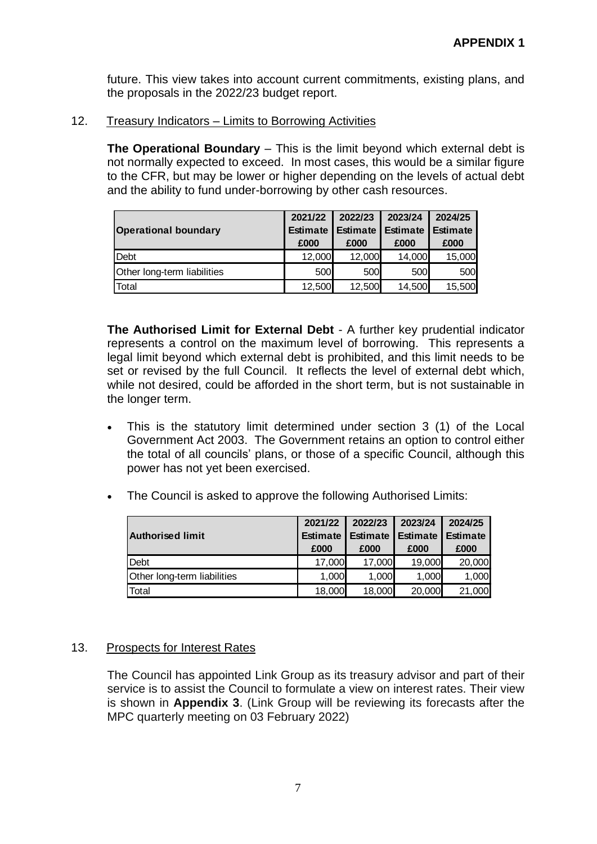future. This view takes into account current commitments, existing plans, and the proposals in the 2022/23 budget report.

## 12. Treasury Indicators – Limits to Borrowing Activities

**The Operational Boundary** – This is the limit beyond which external debt is not normally expected to exceed. In most cases, this would be a similar figure to the CFR, but may be lower or higher depending on the levels of actual debt and the ability to fund under-borrowing by other cash resources.

|                             | 2021/22         | 2022/23         | 2023/24         | 2024/25         |
|-----------------------------|-----------------|-----------------|-----------------|-----------------|
| <b>Operational boundary</b> | <b>Estimate</b> | <b>Estimate</b> | <b>Estimate</b> | <b>Estimate</b> |
|                             | £000            | £000            | £000            | £000            |
| Debt                        | 12,000          | 12,000          | 14,000          | 15,000          |
| Other long-term liabilities | 500             | 500             | 500             | 500             |
| Total                       | 12,500          | 12,500          | 14,500          | 15,500          |

**The Authorised Limit for External Debt** - A further key prudential indicator represents a control on the maximum level of borrowing. This represents a legal limit beyond which external debt is prohibited, and this limit needs to be set or revised by the full Council. It reflects the level of external debt which, while not desired, could be afforded in the short term, but is not sustainable in the longer term.

- This is the statutory limit determined under section 3 (1) of the Local Government Act 2003. The Government retains an option to control either the total of all councils' plans, or those of a specific Council, although this power has not yet been exercised.
- The Council is asked to approve the following Authorised Limits:

|                             | 2021/22         | 2022/23         | 2023/24  | 2024/25    |
|-----------------------------|-----------------|-----------------|----------|------------|
| <b>Authorised limit</b>     | <b>Estimate</b> | <b>Estimate</b> | Estimate | I Estimate |
|                             | £000            | £000            | £000     | £000       |
| <b>Debt</b>                 | 17,000          | 17,000          | 19,000   | 20,000     |
| Other long-term liabilities | 1,000           | 1,000           | 1,000    | 1,000      |
| Total                       | 18,000          | 18,000          | 20,000   | 21,000     |

## 13. Prospects for Interest Rates

The Council has appointed Link Group as its treasury advisor and part of their service is to assist the Council to formulate a view on interest rates. Their view is shown in **Appendix 3**. (Link Group will be reviewing its forecasts after the MPC quarterly meeting on 03 February 2022)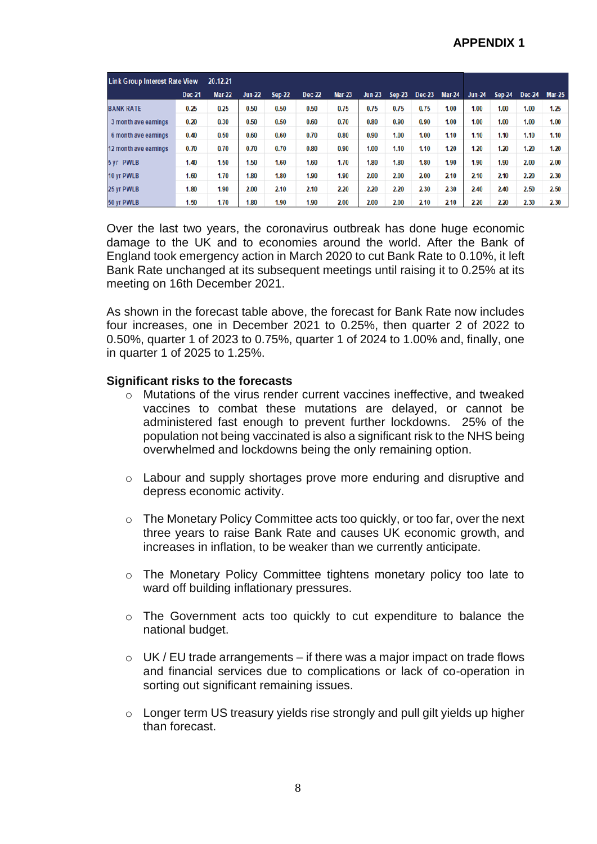| <b>Link Group Interest Rate View</b> |        | 20.12.21      |          |               |               |               |          |               |               |               |               |               |        |               |
|--------------------------------------|--------|---------------|----------|---------------|---------------|---------------|----------|---------------|---------------|---------------|---------------|---------------|--------|---------------|
|                                      | Dec-21 | <b>Mar-22</b> | $Jun-22$ | <b>Sep-22</b> | <b>Dec-22</b> | <b>Mar-23</b> | $Jun-23$ | <b>Sep-23</b> | <b>Dec-23</b> | <b>Mar-24</b> | <b>Jun-24</b> | <b>Sep-24</b> | Dec-24 | <b>Mar-25</b> |
| <b>BANK RATE</b>                     | 0.25   | 0.25          | 0.50     | 0.50          | 0.50          | 0.75          | 0.75     | 0.75          | 0.75          | 1.00          | 1.00          | 1.00          | 1.00   | 1.25          |
| 3 month ave earnings                 | 0.20   | 0.30          | 0.50     | 0.50          | 0.60          | 0.70          | 0.80     | 0.90          | 0.90          | 1.00          | 1.00          | 1.00          | 1.00   | 1.00          |
| 6 month ave earnings                 | 0.40   | 0.50          | 0.60     | 0.60          | 0.70          | 0.80          | 0.90     | 1.00          | 1.00          | 1.10          | 1.10          | 1.10          | 1.10   | 1.10          |
| 12 month ave earnings                | 0.70   | 0.70          | 0.70     | 0.70          | 0.80          | 0.90          | 1.00     | 1.10          | 1.10          | 1.20          | 1.20          | 1.20          | 1.20   | 1.20          |
| 5 vr PWLB                            | 1.40   | 1.50          | 1.50     | 1.60          | 1.60          | 1.70          | 1.80     | 1.80          | 1.80          | 1.90          | 1.90          | 1.90          | 2.00   | 2.00          |
| 10 yr PWLB                           | 1.60   | 1.70          | 1.80     | 1.80          | 1.90          | 1.90          | 2.00     | 2.00          | 2.00          | 2.10          | 2.10          | 2.10          | 2.20   | 2.30          |
| 25 yr PWLB                           | 1.80   | 1.90          | 2.00     | 2.10          | 2.10          | 2.20          | 2.20     | 2.20          | 2.30          | 2.30          | 2.40          | 2.40          | 2.50   | 2.50          |
| 50 yr PWLB                           | 1.50   | 1.70          | 1.80     | 1.90          | 1.90          | 2.00          | 2.00     | 2.00          | 2.10          | 2.10          | 2.20          | 2.20          | 2.30   | 2.30          |

Over the last two years, the coronavirus outbreak has done huge economic damage to the UK and to economies around the world. After the Bank of England took emergency action in March 2020 to cut Bank Rate to 0.10%, it left Bank Rate unchanged at its subsequent meetings until raising it to 0.25% at its meeting on 16th December 2021.

As shown in the forecast table above, the forecast for Bank Rate now includes four increases, one in December 2021 to 0.25%, then quarter 2 of 2022 to 0.50%, quarter 1 of 2023 to 0.75%, quarter 1 of 2024 to 1.00% and, finally, one in quarter 1 of 2025 to 1.25%.

#### **Significant risks to the forecasts**

- o Mutations of the virus render current vaccines ineffective, and tweaked vaccines to combat these mutations are delayed, or cannot be administered fast enough to prevent further lockdowns. 25% of the population not being vaccinated is also a significant risk to the NHS being overwhelmed and lockdowns being the only remaining option.
- o Labour and supply shortages prove more enduring and disruptive and depress economic activity.
- o The Monetary Policy Committee acts too quickly, or too far, over the next three years to raise Bank Rate and causes UK economic growth, and increases in inflation, to be weaker than we currently anticipate.
- o The Monetary Policy Committee tightens monetary policy too late to ward off building inflationary pressures.
- o The Government acts too quickly to cut expenditure to balance the national budget.
- $\circ$  UK / EU trade arrangements if there was a major impact on trade flows and financial services due to complications or lack of co-operation in sorting out significant remaining issues.
- o Longer term US treasury yields rise strongly and pull gilt yields up higher than forecast.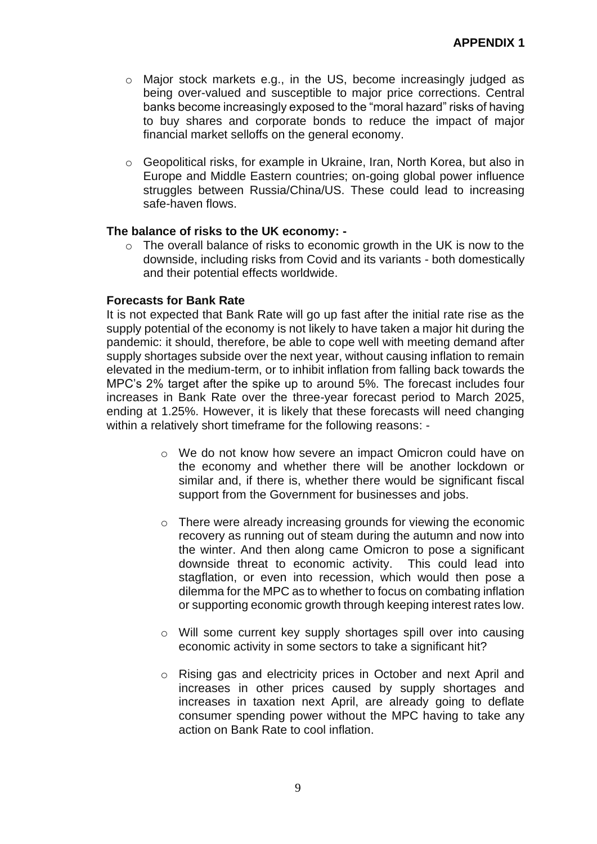- o Major stock markets e.g., in the US, become increasingly judged as being over-valued and susceptible to major price corrections. Central banks become increasingly exposed to the "moral hazard" risks of having to buy shares and corporate bonds to reduce the impact of major financial market selloffs on the general economy.
- o Geopolitical risks, for example in Ukraine, Iran, North Korea, but also in Europe and Middle Eastern countries; on-going global power influence struggles between Russia/China/US. These could lead to increasing safe-haven flows.

## **The balance of risks to the UK economy: -**

o The overall balance of risks to economic growth in the UK is now to the downside, including risks from Covid and its variants - both domestically and their potential effects worldwide.

### **Forecasts for Bank Rate**

It is not expected that Bank Rate will go up fast after the initial rate rise as the supply potential of the economy is not likely to have taken a major hit during the pandemic: it should, therefore, be able to cope well with meeting demand after supply shortages subside over the next year, without causing inflation to remain elevated in the medium-term, or to inhibit inflation from falling back towards the MPC's 2% target after the spike up to around 5%. The forecast includes four increases in Bank Rate over the three-year forecast period to March 2025, ending at 1.25%. However, it is likely that these forecasts will need changing within a relatively short timeframe for the following reasons: -

- $\circ$  We do not know how severe an impact Omicron could have on the economy and whether there will be another lockdown or similar and, if there is, whether there would be significant fiscal support from the Government for businesses and jobs.
- o There were already increasing grounds for viewing the economic recovery as running out of steam during the autumn and now into the winter. And then along came Omicron to pose a significant downside threat to economic activity. This could lead into stagflation, or even into recession, which would then pose a dilemma for the MPC as to whether to focus on combating inflation or supporting economic growth through keeping interest rates low.
- $\circ$  Will some current key supply shortages spill over into causing economic activity in some sectors to take a significant hit?
- o Rising gas and electricity prices in October and next April and increases in other prices caused by supply shortages and increases in taxation next April, are already going to deflate consumer spending power without the MPC having to take any action on Bank Rate to cool inflation.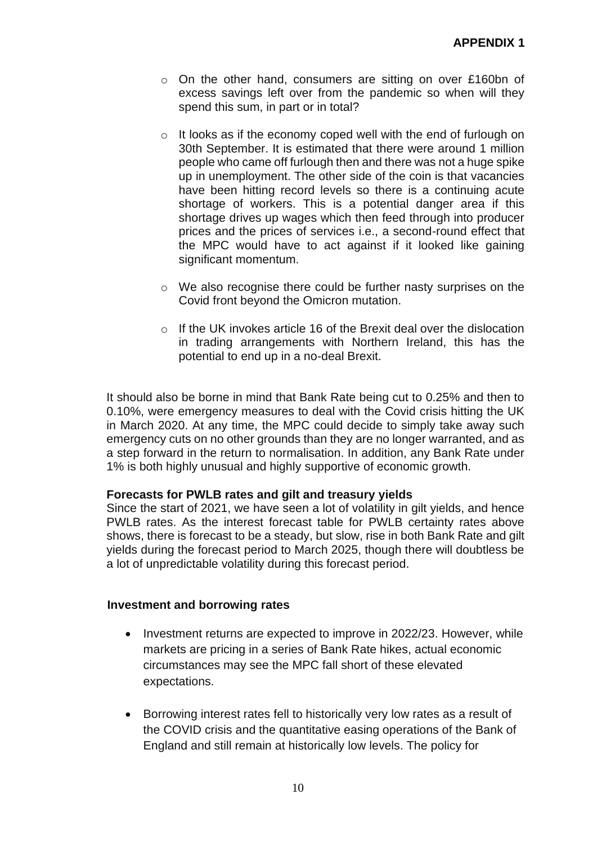- o On the other hand, consumers are sitting on over £160bn of excess savings left over from the pandemic so when will they spend this sum, in part or in total?
- $\circ$  It looks as if the economy coped well with the end of furlough on 30th September. It is estimated that there were around 1 million people who came off furlough then and there was not a huge spike up in unemployment. The other side of the coin is that vacancies have been hitting record levels so there is a continuing acute shortage of workers. This is a potential danger area if this shortage drives up wages which then feed through into producer prices and the prices of services i.e., a second-round effect that the MPC would have to act against if it looked like gaining significant momentum.
- o We also recognise there could be further nasty surprises on the Covid front beyond the Omicron mutation.
- o If the UK invokes article 16 of the Brexit deal over the dislocation in trading arrangements with Northern Ireland, this has the potential to end up in a no-deal Brexit.

It should also be borne in mind that Bank Rate being cut to 0.25% and then to 0.10%, were emergency measures to deal with the Covid crisis hitting the UK in March 2020. At any time, the MPC could decide to simply take away such emergency cuts on no other grounds than they are no longer warranted, and as a step forward in the return to normalisation. In addition, any Bank Rate under 1% is both highly unusual and highly supportive of economic growth.

## **Forecasts for PWLB rates and gilt and treasury yields**

Since the start of 2021, we have seen a lot of volatility in gilt yields, and hence PWLB rates. As the interest forecast table for PWLB certainty rates above shows, there is forecast to be a steady, but slow, rise in both Bank Rate and gilt yields during the forecast period to March 2025, though there will doubtless be a lot of unpredictable volatility during this forecast period.

#### **Investment and borrowing rates**

- Investment returns are expected to improve in 2022/23. However, while markets are pricing in a series of Bank Rate hikes, actual economic circumstances may see the MPC fall short of these elevated expectations.
- Borrowing interest rates fell to historically very low rates as a result of the COVID crisis and the quantitative easing operations of the Bank of England and still remain at historically low levels. The policy for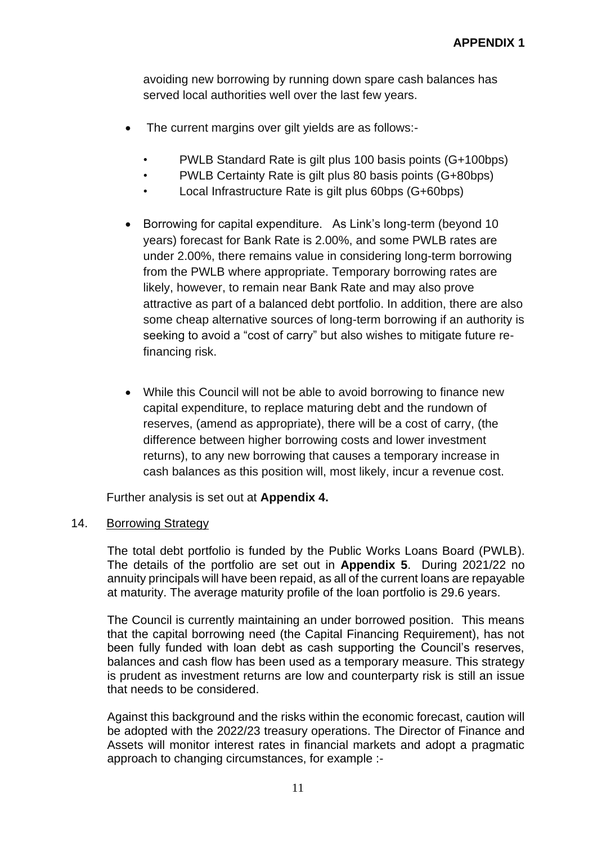avoiding new borrowing by running down spare cash balances has served local authorities well over the last few years.

- The current margins over gilt yields are as follows:-
	- PWLB Standard Rate is gilt plus 100 basis points (G+100bps)
	- PWLB Certainty Rate is gilt plus 80 basis points (G+80bps)
	- Local Infrastructure Rate is gilt plus 60bps (G+60bps)
- Borrowing for capital expenditure. As Link's long-term (beyond 10 years) forecast for Bank Rate is 2.00%, and some PWLB rates are under 2.00%, there remains value in considering long-term borrowing from the PWLB where appropriate. Temporary borrowing rates are likely, however, to remain near Bank Rate and may also prove attractive as part of a balanced debt portfolio. In addition, there are also some cheap alternative sources of long-term borrowing if an authority is seeking to avoid a "cost of carry" but also wishes to mitigate future refinancing risk.
- While this Council will not be able to avoid borrowing to finance new capital expenditure, to replace maturing debt and the rundown of reserves, (amend as appropriate), there will be a cost of carry, (the difference between higher borrowing costs and lower investment returns), to any new borrowing that causes a temporary increase in cash balances as this position will, most likely, incur a revenue cost.

Further analysis is set out at **Appendix 4.**

## 14. Borrowing Strategy

The total debt portfolio is funded by the Public Works Loans Board (PWLB). The details of the portfolio are set out in **Appendix 5**. During 2021/22 no annuity principals will have been repaid, as all of the current loans are repayable at maturity. The average maturity profile of the loan portfolio is 29.6 years.

The Council is currently maintaining an under borrowed position. This means that the capital borrowing need (the Capital Financing Requirement), has not been fully funded with loan debt as cash supporting the Council's reserves, balances and cash flow has been used as a temporary measure. This strategy is prudent as investment returns are low and counterparty risk is still an issue that needs to be considered.

Against this background and the risks within the economic forecast, caution will be adopted with the 2022/23 treasury operations. The Director of Finance and Assets will monitor interest rates in financial markets and adopt a pragmatic approach to changing circumstances, for example :-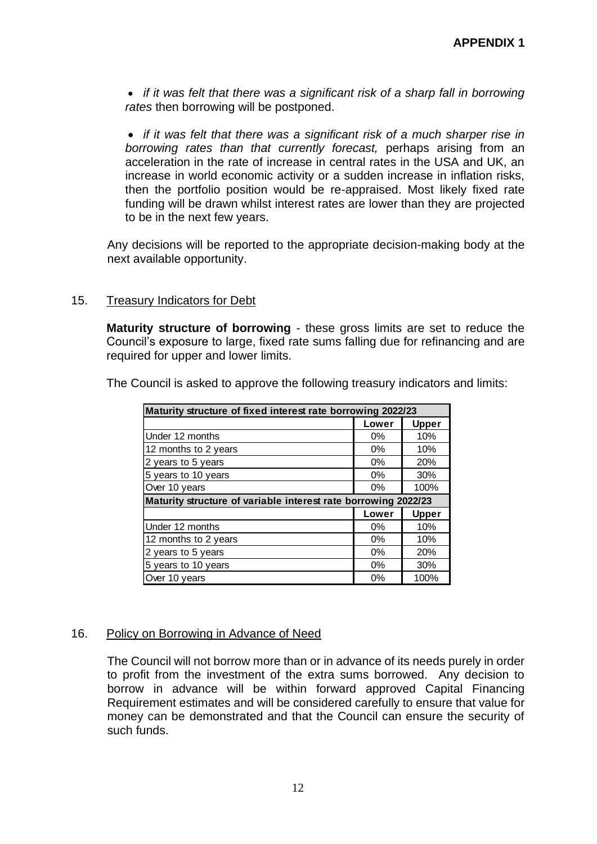• *if it was felt that there was a significant risk of a sharp fall in borrowing rates* then borrowing will be postponed.

• *if it was felt that there was a significant risk of a much sharper rise in borrowing rates than that currently forecast,* perhaps arising from an acceleration in the rate of increase in central rates in the USA and UK, an increase in world economic activity or a sudden increase in inflation risks, then the portfolio position would be re-appraised. Most likely fixed rate funding will be drawn whilst interest rates are lower than they are projected to be in the next few years.

Any decisions will be reported to the appropriate decision-making body at the next available opportunity.

### 15. Treasury Indicators for Debt

**Maturity structure of borrowing** - these gross limits are set to reduce the Council's exposure to large, fixed rate sums falling due for refinancing and are required for upper and lower limits.

|  |  |  |  |  |  |  | The Council is asked to approve the following treasury indicators and limits: |  |
|--|--|--|--|--|--|--|-------------------------------------------------------------------------------|--|
|--|--|--|--|--|--|--|-------------------------------------------------------------------------------|--|

| Maturity structure of fixed interest rate borrowing 2022/23    |       |              |  |  |  |  |  |
|----------------------------------------------------------------|-------|--------------|--|--|--|--|--|
|                                                                | Lower | <b>Upper</b> |  |  |  |  |  |
| Under 12 months                                                | $0\%$ | 10%          |  |  |  |  |  |
| 12 months to 2 years                                           | $0\%$ | 10%          |  |  |  |  |  |
| 2 years to 5 years                                             | $0\%$ | 20%          |  |  |  |  |  |
| 5 years to 10 years                                            | $0\%$ | 30%          |  |  |  |  |  |
| Over 10 years                                                  | $0\%$ | 100%         |  |  |  |  |  |
| Maturity structure of variable interest rate borrowing 2022/23 |       |              |  |  |  |  |  |
|                                                                | Lower | <b>Upper</b> |  |  |  |  |  |
| Under 12 months                                                | $0\%$ | 10%          |  |  |  |  |  |
| 12 months to 2 years                                           | $0\%$ | 10%          |  |  |  |  |  |
| 2 years to 5 years                                             | $0\%$ | 20%          |  |  |  |  |  |
| 5 years to 10 years                                            | $0\%$ | 30%          |  |  |  |  |  |
| Over 10 years                                                  | 0%    | 100%         |  |  |  |  |  |

#### 16. Policy on Borrowing in Advance of Need

The Council will not borrow more than or in advance of its needs purely in order to profit from the investment of the extra sums borrowed. Any decision to borrow in advance will be within forward approved Capital Financing Requirement estimates and will be considered carefully to ensure that value for money can be demonstrated and that the Council can ensure the security of such funds.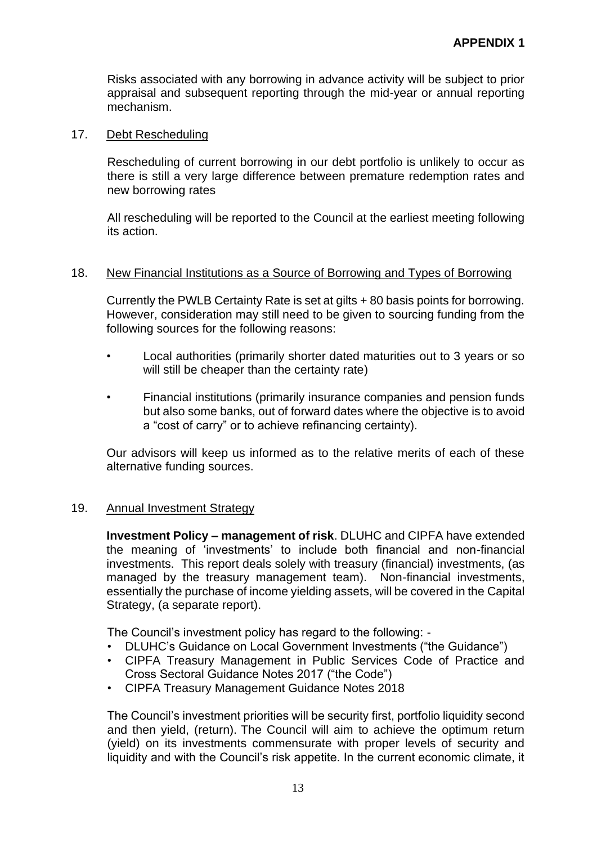Risks associated with any borrowing in advance activity will be subject to prior appraisal and subsequent reporting through the mid-year or annual reporting mechanism.

### 17. Debt Rescheduling

Rescheduling of current borrowing in our debt portfolio is unlikely to occur as there is still a very large difference between premature redemption rates and new borrowing rates

All rescheduling will be reported to the Council at the earliest meeting following its action.

#### 18. New Financial Institutions as a Source of Borrowing and Types of Borrowing

Currently the PWLB Certainty Rate is set at gilts + 80 basis points for borrowing. However, consideration may still need to be given to sourcing funding from the following sources for the following reasons:

- Local authorities (primarily shorter dated maturities out to 3 years or so will still be cheaper than the certainty rate)
- Financial institutions (primarily insurance companies and pension funds but also some banks, out of forward dates where the objective is to avoid a "cost of carry" or to achieve refinancing certainty).

Our advisors will keep us informed as to the relative merits of each of these alternative funding sources.

## 19. Annual Investment Strategy

**Investment Policy – management of risk**. DLUHC and CIPFA have extended the meaning of 'investments' to include both financial and non-financial investments. This report deals solely with treasury (financial) investments, (as managed by the treasury management team). Non-financial investments, essentially the purchase of income yielding assets, will be covered in the Capital Strategy, (a separate report).

The Council's investment policy has regard to the following: -

- DLUHC's Guidance on Local Government Investments ("the Guidance")
- CIPFA Treasury Management in Public Services Code of Practice and Cross Sectoral Guidance Notes 2017 ("the Code")
- CIPFA Treasury Management Guidance Notes 2018

The Council's investment priorities will be security first, portfolio liquidity second and then yield, (return). The Council will aim to achieve the optimum return (yield) on its investments commensurate with proper levels of security and liquidity and with the Council's risk appetite. In the current economic climate, it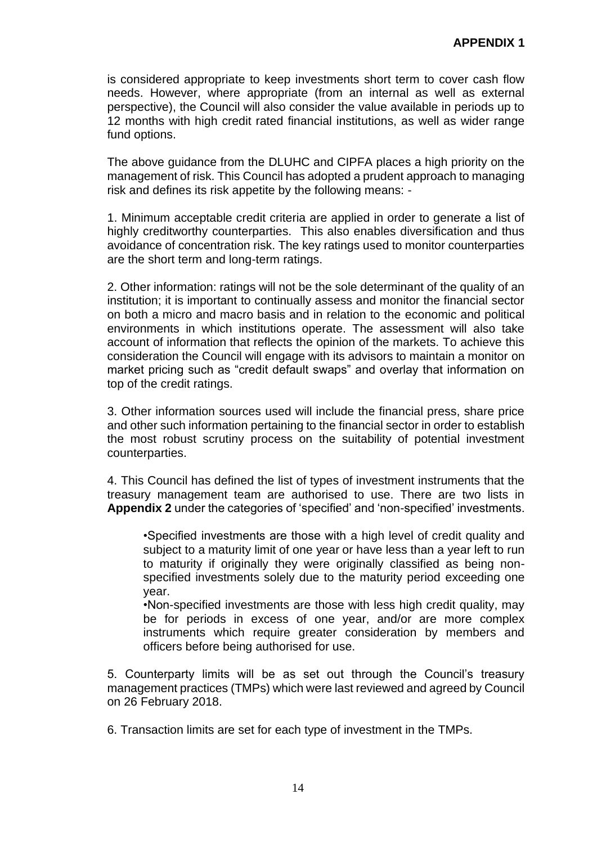is considered appropriate to keep investments short term to cover cash flow needs. However, where appropriate (from an internal as well as external perspective), the Council will also consider the value available in periods up to 12 months with high credit rated financial institutions, as well as wider range fund options.

The above guidance from the DLUHC and CIPFA places a high priority on the management of risk. This Council has adopted a prudent approach to managing risk and defines its risk appetite by the following means: -

1. Minimum acceptable credit criteria are applied in order to generate a list of highly creditworthy counterparties. This also enables diversification and thus avoidance of concentration risk. The key ratings used to monitor counterparties are the short term and long-term ratings.

2. Other information: ratings will not be the sole determinant of the quality of an institution; it is important to continually assess and monitor the financial sector on both a micro and macro basis and in relation to the economic and political environments in which institutions operate. The assessment will also take account of information that reflects the opinion of the markets. To achieve this consideration the Council will engage with its advisors to maintain a monitor on market pricing such as "credit default swaps" and overlay that information on top of the credit ratings.

3. Other information sources used will include the financial press, share price and other such information pertaining to the financial sector in order to establish the most robust scrutiny process on the suitability of potential investment counterparties.

4. This Council has defined the list of types of investment instruments that the treasury management team are authorised to use. There are two lists in **Appendix 2** under the categories of 'specified' and 'non-specified' investments.

•Specified investments are those with a high level of credit quality and subject to a maturity limit of one year or have less than a year left to run to maturity if originally they were originally classified as being nonspecified investments solely due to the maturity period exceeding one year.

•Non-specified investments are those with less high credit quality, may be for periods in excess of one year, and/or are more complex instruments which require greater consideration by members and officers before being authorised for use.

5. Counterparty limits will be as set out through the Council's treasury management practices (TMPs) which were last reviewed and agreed by Council on 26 February 2018.

6. Transaction limits are set for each type of investment in the TMPs.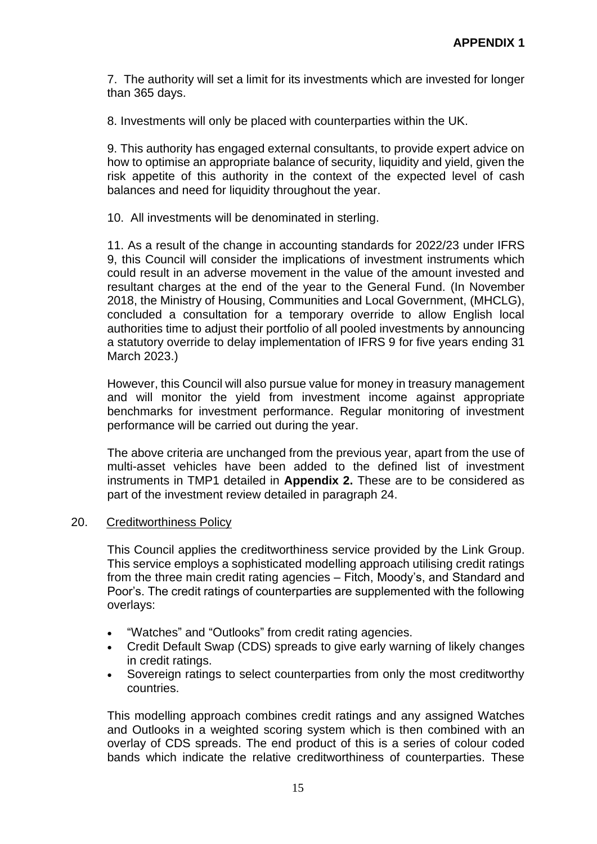7. The authority will set a limit for its investments which are invested for longer than 365 days.

8. Investments will only be placed with counterparties within the UK.

9. This authority has engaged external consultants, to provide expert advice on how to optimise an appropriate balance of security, liquidity and yield, given the risk appetite of this authority in the context of the expected level of cash balances and need for liquidity throughout the year.

10. All investments will be denominated in sterling.

11. As a result of the change in accounting standards for 2022/23 under IFRS 9, this Council will consider the implications of investment instruments which could result in an adverse movement in the value of the amount invested and resultant charges at the end of the year to the General Fund. (In November 2018, the Ministry of Housing, Communities and Local Government, (MHCLG), concluded a consultation for a temporary override to allow English local authorities time to adjust their portfolio of all pooled investments by announcing a statutory override to delay implementation of IFRS 9 for five years ending 31 March 2023.)

However, this Council will also pursue value for money in treasury management and will monitor the yield from investment income against appropriate benchmarks for investment performance. Regular monitoring of investment performance will be carried out during the year.

The above criteria are unchanged from the previous year, apart from the use of multi-asset vehicles have been added to the defined list of investment instruments in TMP1 detailed in **Appendix 2.** These are to be considered as part of the investment review detailed in paragraph 24.

#### 20. Creditworthiness Policy

This Council applies the creditworthiness service provided by the Link Group. This service employs a sophisticated modelling approach utilising credit ratings from the three main credit rating agencies – Fitch, Moody's, and Standard and Poor's. The credit ratings of counterparties are supplemented with the following overlays:

- "Watches" and "Outlooks" from credit rating agencies.
- Credit Default Swap (CDS) spreads to give early warning of likely changes in credit ratings.
- Sovereign ratings to select counterparties from only the most creditworthy countries.

This modelling approach combines credit ratings and any assigned Watches and Outlooks in a weighted scoring system which is then combined with an overlay of CDS spreads. The end product of this is a series of colour coded bands which indicate the relative creditworthiness of counterparties. These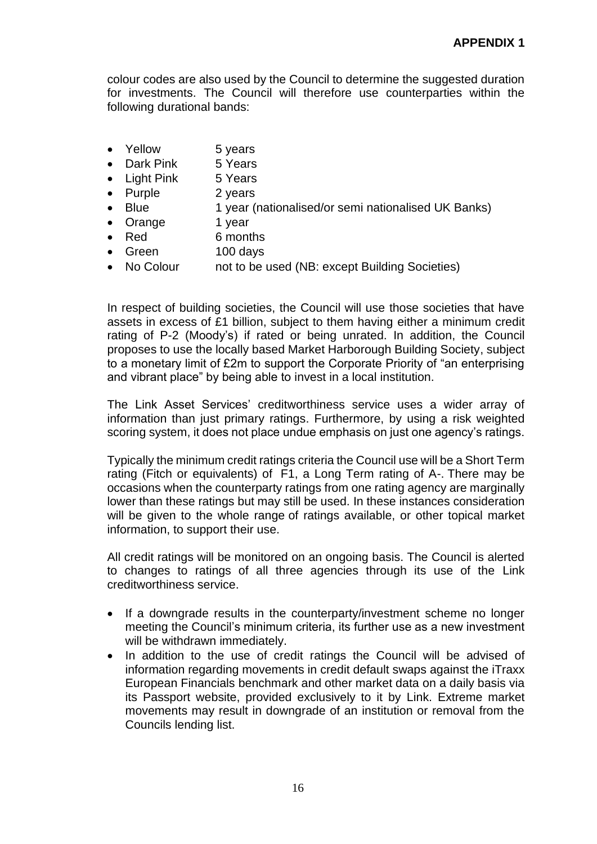colour codes are also used by the Council to determine the suggested duration for investments. The Council will therefore use counterparties within the following durational bands:

- Yellow 5 years
- Dark Pink 5 Years
- Light Pink 5 Years
- Purple 2 years
- Blue 1 year (nationalised/or semi nationalised UK Banks)
- Orange 1 year
- Red 6 months
- Green 100 days
- No Colour not to be used (NB: except Building Societies)

In respect of building societies, the Council will use those societies that have assets in excess of £1 billion, subject to them having either a minimum credit rating of P-2 (Moody's) if rated or being unrated. In addition, the Council proposes to use the locally based Market Harborough Building Society, subject to a monetary limit of £2m to support the Corporate Priority of "an enterprising and vibrant place" by being able to invest in a local institution.

The Link Asset Services' creditworthiness service uses a wider array of information than just primary ratings. Furthermore, by using a risk weighted scoring system, it does not place undue emphasis on just one agency's ratings.

Typically the minimum credit ratings criteria the Council use will be a Short Term rating (Fitch or equivalents) of F1, a Long Term rating of A-. There may be occasions when the counterparty ratings from one rating agency are marginally lower than these ratings but may still be used. In these instances consideration will be given to the whole range of ratings available, or other topical market information, to support their use.

All credit ratings will be monitored on an ongoing basis. The Council is alerted to changes to ratings of all three agencies through its use of the Link creditworthiness service.

- If a downgrade results in the counterparty/investment scheme no longer meeting the Council's minimum criteria, its further use as a new investment will be withdrawn immediately.
- In addition to the use of credit ratings the Council will be advised of information regarding movements in credit default swaps against the iTraxx European Financials benchmark and other market data on a daily basis via its Passport website, provided exclusively to it by Link. Extreme market movements may result in downgrade of an institution or removal from the Councils lending list.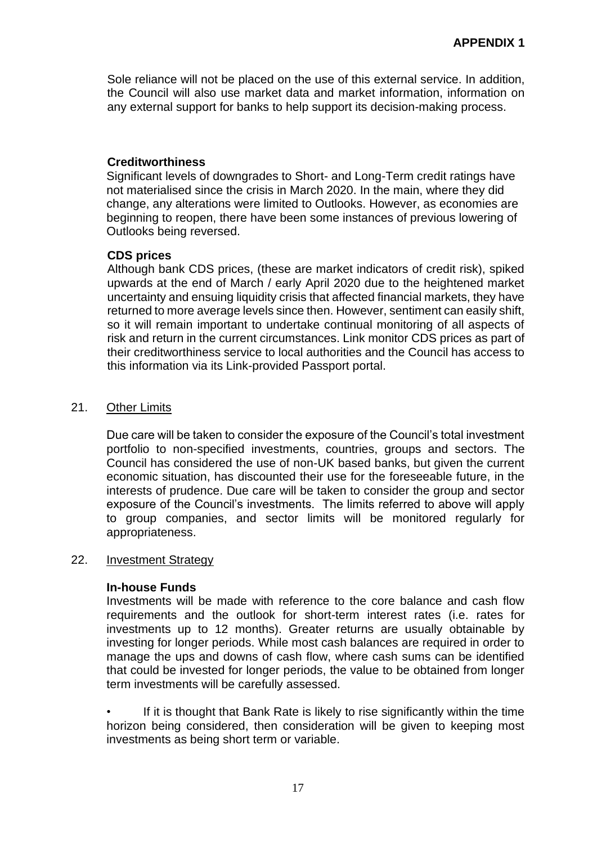Sole reliance will not be placed on the use of this external service. In addition, the Council will also use market data and market information, information on any external support for banks to help support its decision-making process.

## **Creditworthiness**

Significant levels of downgrades to Short- and Long-Term credit ratings have not materialised since the crisis in March 2020. In the main, where they did change, any alterations were limited to Outlooks. However, as economies are beginning to reopen, there have been some instances of previous lowering of Outlooks being reversed.

## **CDS prices**

Although bank CDS prices, (these are market indicators of credit risk), spiked upwards at the end of March / early April 2020 due to the heightened market uncertainty and ensuing liquidity crisis that affected financial markets, they have returned to more average levels since then. However, sentiment can easily shift, so it will remain important to undertake continual monitoring of all aspects of risk and return in the current circumstances. Link monitor CDS prices as part of their creditworthiness service to local authorities and the Council has access to this information via its Link-provided Passport portal.

## 21. Other Limits

Due care will be taken to consider the exposure of the Council's total investment portfolio to non-specified investments, countries, groups and sectors. The Council has considered the use of non-UK based banks, but given the current economic situation, has discounted their use for the foreseeable future, in the interests of prudence. Due care will be taken to consider the group and sector exposure of the Council's investments. The limits referred to above will apply to group companies, and sector limits will be monitored regularly for appropriateness.

#### 22. Investment Strategy

#### **In-house Funds**

Investments will be made with reference to the core balance and cash flow requirements and the outlook for short-term interest rates (i.e. rates for investments up to 12 months). Greater returns are usually obtainable by investing for longer periods. While most cash balances are required in order to manage the ups and downs of cash flow, where cash sums can be identified that could be invested for longer periods, the value to be obtained from longer term investments will be carefully assessed.

If it is thought that Bank Rate is likely to rise significantly within the time horizon being considered, then consideration will be given to keeping most investments as being short term or variable.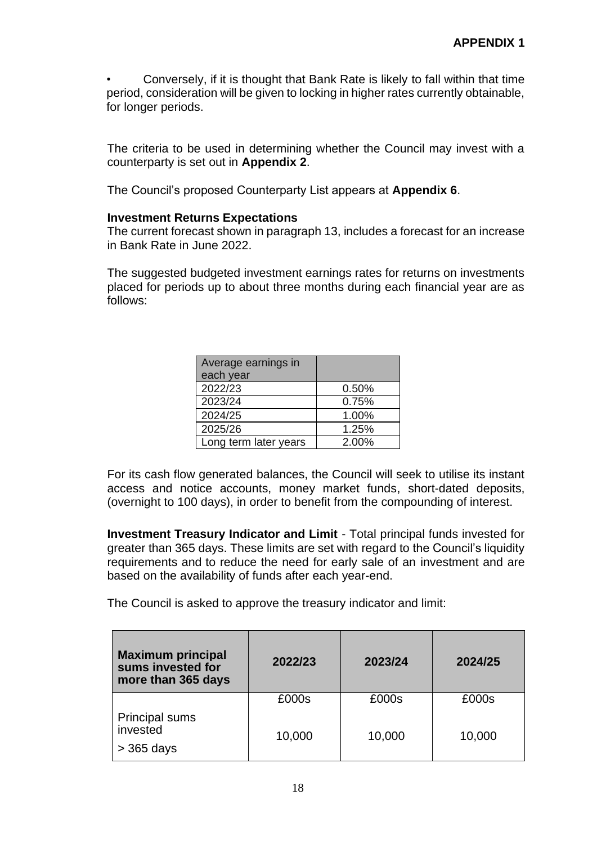• Conversely, if it is thought that Bank Rate is likely to fall within that time period, consideration will be given to locking in higher rates currently obtainable, for longer periods.

The criteria to be used in determining whether the Council may invest with a counterparty is set out in **Appendix 2**.

The Council's proposed Counterparty List appears at **Appendix 6**.

## **Investment Returns Expectations**

The current forecast shown in paragraph 13, includes a forecast for an increase in Bank Rate in June 2022.

The suggested budgeted investment earnings rates for returns on investments placed for periods up to about three months during each financial year are as follows:

| Average earnings in   |       |  |
|-----------------------|-------|--|
| each year             |       |  |
| 2022/23               | 0.50% |  |
| 2023/24               | 0.75% |  |
| 2024/25               | 1.00% |  |
| 2025/26               | 1.25% |  |
| Long term later years | 2.00% |  |

For its cash flow generated balances, the Council will seek to utilise its instant access and notice accounts, money market funds, short-dated deposits, (overnight to 100 days), in order to benefit from the compounding of interest.

**Investment Treasury Indicator and Limit** - Total principal funds invested for greater than 365 days. These limits are set with regard to the Council's liquidity requirements and to reduce the need for early sale of an investment and are based on the availability of funds after each year-end.

The Council is asked to approve the treasury indicator and limit:

| <b>Maximum principal</b><br>sums invested for<br>more than 365 days | 2022/23 | 2023/24 | 2024/25 |
|---------------------------------------------------------------------|---------|---------|---------|
|                                                                     | £000s   | £000s   | £000s   |
| <b>Principal sums</b><br>invested<br>$>$ 365 days                   | 10,000  | 10,000  | 10,000  |